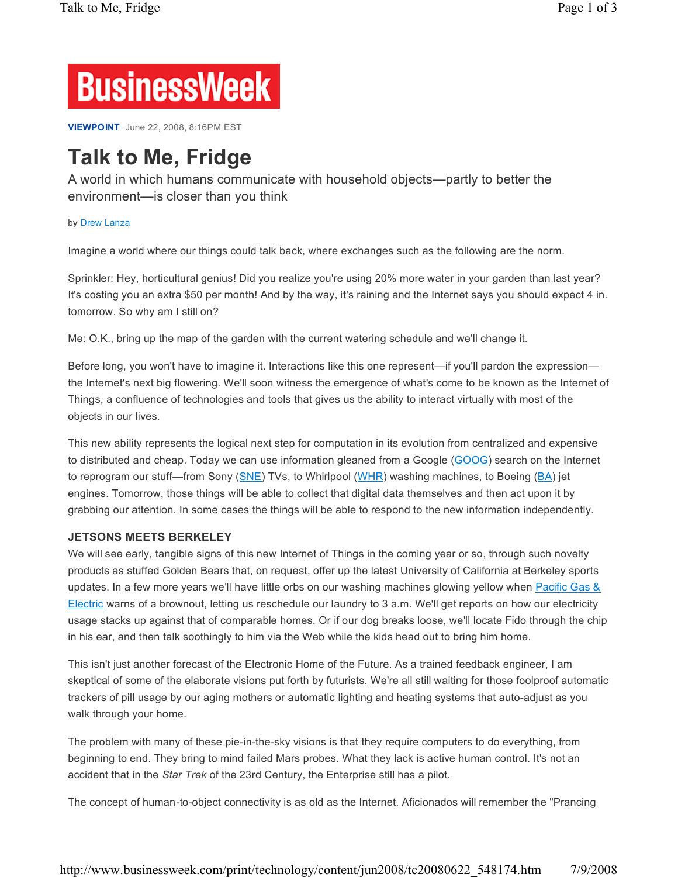

**VIEWPOINT** June 22, 2008, 8:16PM EST

# **Talk to Me, Fridge**

A world in which humans communicate with household objects—partly to better the environment—is closer than you think

#### by Drew Lanza

Imagine a world where our things could talk back, where exchanges such as the following are the norm.

Sprinkler: Hey, horticultural genius! Did you realize you're using 20% more water in your garden than last year? It's costing you an extra \$50 per month! And by the way, it's raining and the Internet says you should expect 4 in. tomorrow. So why am I still on?

Me: O.K., bring up the map of the garden with the current watering schedule and we'll change it.

Before long, you won't have to imagine it. Interactions like this one represent—if you'll pardon the expression the Internet's next big flowering. We'll soon witness the emergence of what's come to be known as the Internet of Things, a confluence of technologies and tools that gives us the ability to interact virtually with most of the objects in our lives.

This new ability represents the logical next step for computation in its evolution from centralized and expensive to distributed and cheap. Today we can use information gleaned from a Google (GOOG) search on the Internet to reprogram our stuff—from Sony (SNE) TVs, to Whirlpool (WHR) washing machines, to Boeing ( $BA$ ) jet engines. Tomorrow, those things will be able to collect that digital data themselves and then act upon it by grabbing our attention. In some cases the things will be able to respond to the new information independently.

## **JETSONS MEETS BERKELEY**

We will see early, tangible signs of this new Internet of Things in the coming year or so, through such novelty products as stuffed Golden Bears that, on request, offer up the latest University of California at Berkeley sports updates. In a few more years we'll have little orbs on our washing machines glowing yellow when Pacific Gas & Electric warns of a brownout, letting us reschedule our laundry to 3 a.m. We'll get reports on how our electricity usage stacks up against that of comparable homes. Or if our dog breaks loose, we'll locate Fido through the chip in his ear, and then talk soothingly to him via the Web while the kids head out to bring him home.

This isn't just another forecast of the Electronic Home of the Future. As a trained feedback engineer, I am skeptical of some of the elaborate visions put forth by futurists. We're all still waiting for those foolproof automatic trackers of pill usage by our aging mothers or automatic lighting and heating systems that auto-adjust as you walk through your home.

The problem with many of these pie-in-the-sky visions is that they require computers to do everything, from beginning to end. They bring to mind failed Mars probes. What they lack is active human control. It's not an accident that in the *Star Trek* of the 23rd Century, the Enterprise still has a pilot.

The concept of human-to-object connectivity is as old as the Internet. Aficionados will remember the "Prancing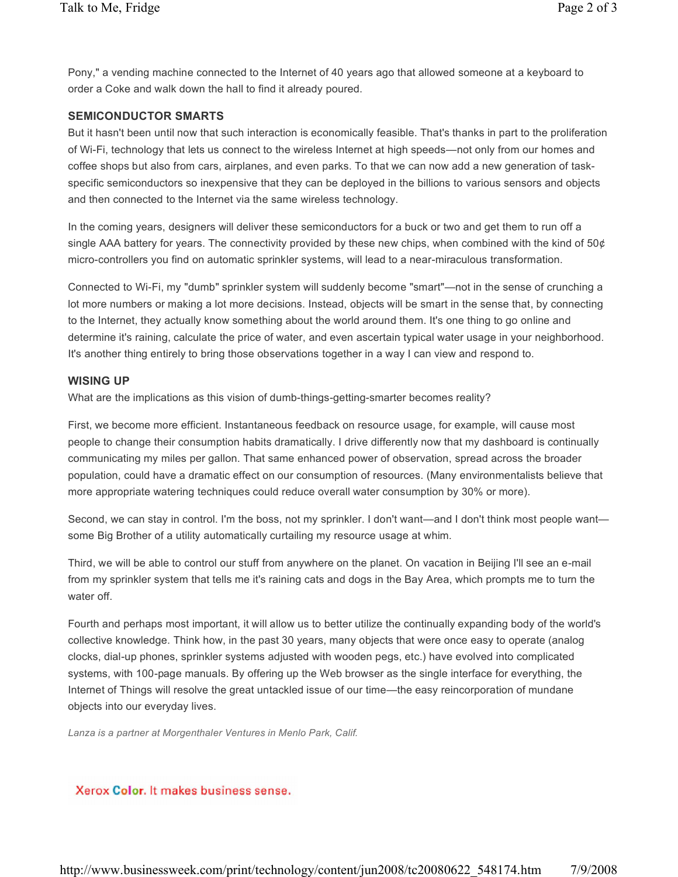Pony," a vending machine connected to the Internet of 40 years ago that allowed someone at a keyboard to order a Coke and walk down the hall to find it already poured.

### **SEMICONDUCTOR SMARTS**

But it hasn't been until now that such interaction is economically feasible. That's thanks in part to the proliferation of Wi-Fi, technology that lets us connect to the wireless Internet at high speeds—not only from our homes and coffee shops but also from cars, airplanes, and even parks. To that we can now add a new generation of taskspecific semiconductors so inexpensive that they can be deployed in the billions to various sensors and objects and then connected to the Internet via the same wireless technology.

In the coming years, designers will deliver these semiconductors for a buck or two and get them to run off a single AAA battery for years. The connectivity provided by these new chips, when combined with the kind of  $50¢$ micro-controllers you find on automatic sprinkler systems, will lead to a near-miraculous transformation.

Connected to Wi-Fi, my "dumb" sprinkler system will suddenly become "smart"—not in the sense of crunching a lot more numbers or making a lot more decisions. Instead, objects will be smart in the sense that, by connecting to the Internet, they actually know something about the world around them. It's one thing to go online and determine it's raining, calculate the price of water, and even ascertain typical water usage in your neighborhood. It's another thing entirely to bring those observations together in a way I can view and respond to.

### **WISING UP**

What are the implications as this vision of dumb-things-getting-smarter becomes reality?

First, we become more efficient. Instantaneous feedback on resource usage, for example, will cause most people to change their consumption habits dramatically. I drive differently now that my dashboard is continually communicating my miles per gallon. That same enhanced power of observation, spread across the broader population, could have a dramatic effect on our consumption of resources. (Many environmentalists believe that more appropriate watering techniques could reduce overall water consumption by 30% or more).

Second, we can stay in control. I'm the boss, not my sprinkler. I don't want—and I don't think most people want some Big Brother of a utility automatically curtailing my resource usage at whim.

Third, we will be able to control our stuff from anywhere on the planet. On vacation in Beijing I'll see an e-mail from my sprinkler system that tells me it's raining cats and dogs in the Bay Area, which prompts me to turn the water off.

Fourth and perhaps most important, it will allow us to better utilize the continually expanding body of the world's collective knowledge. Think how, in the past 30 years, many objects that were once easy to operate (analog clocks, dial-up phones, sprinkler systems adjusted with wooden pegs, etc.) have evolved into complicated systems, with 100-page manuals. By offering up the Web browser as the single interface for everything, the Internet of Things will resolve the great untackled issue of our time—the easy reincorporation of mundane objects into our everyday lives.

*Lanza is a partner at Morgenthaler Ventures in Menlo Park, Calif.*

## Xerox Color, It makes business sense.